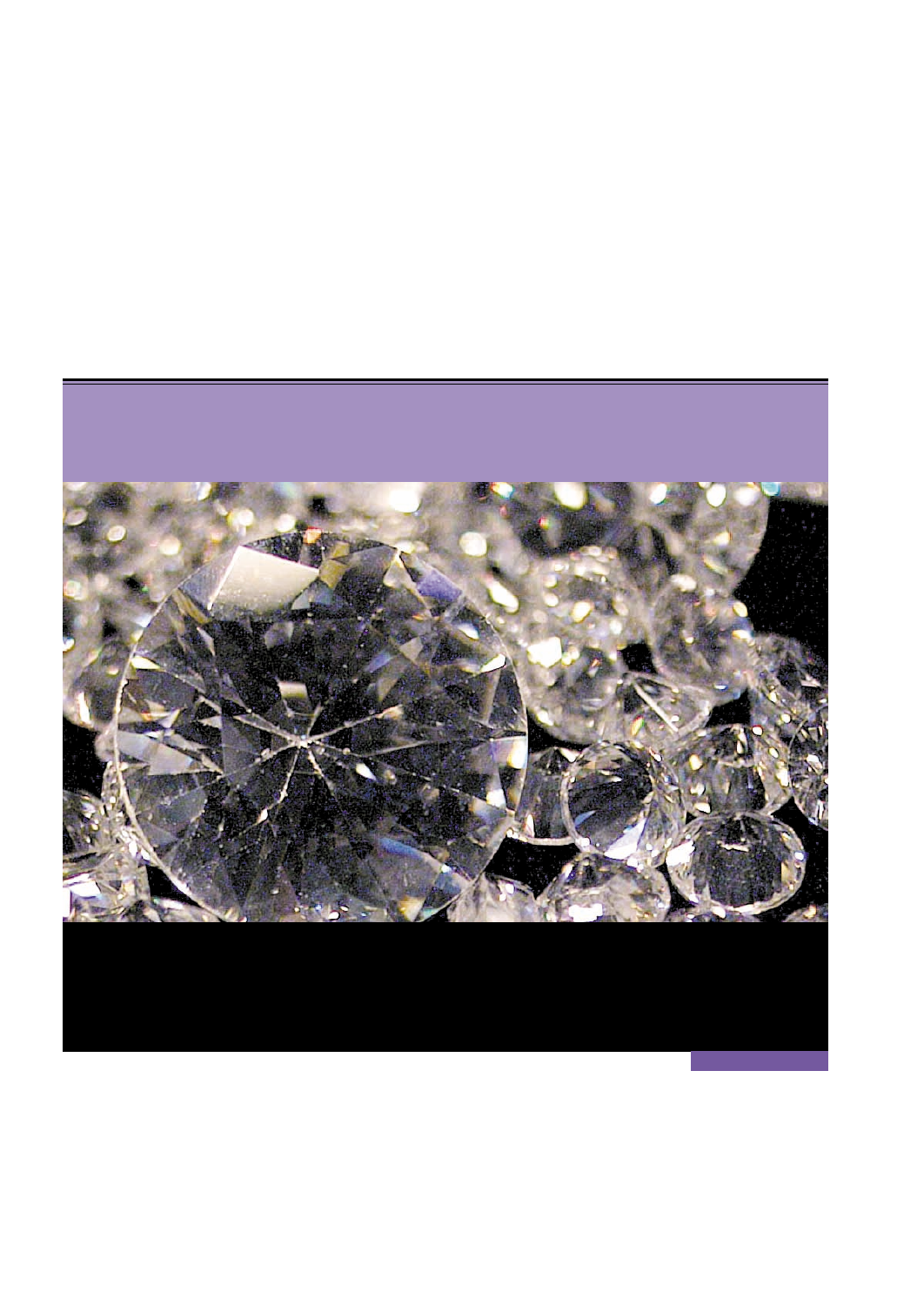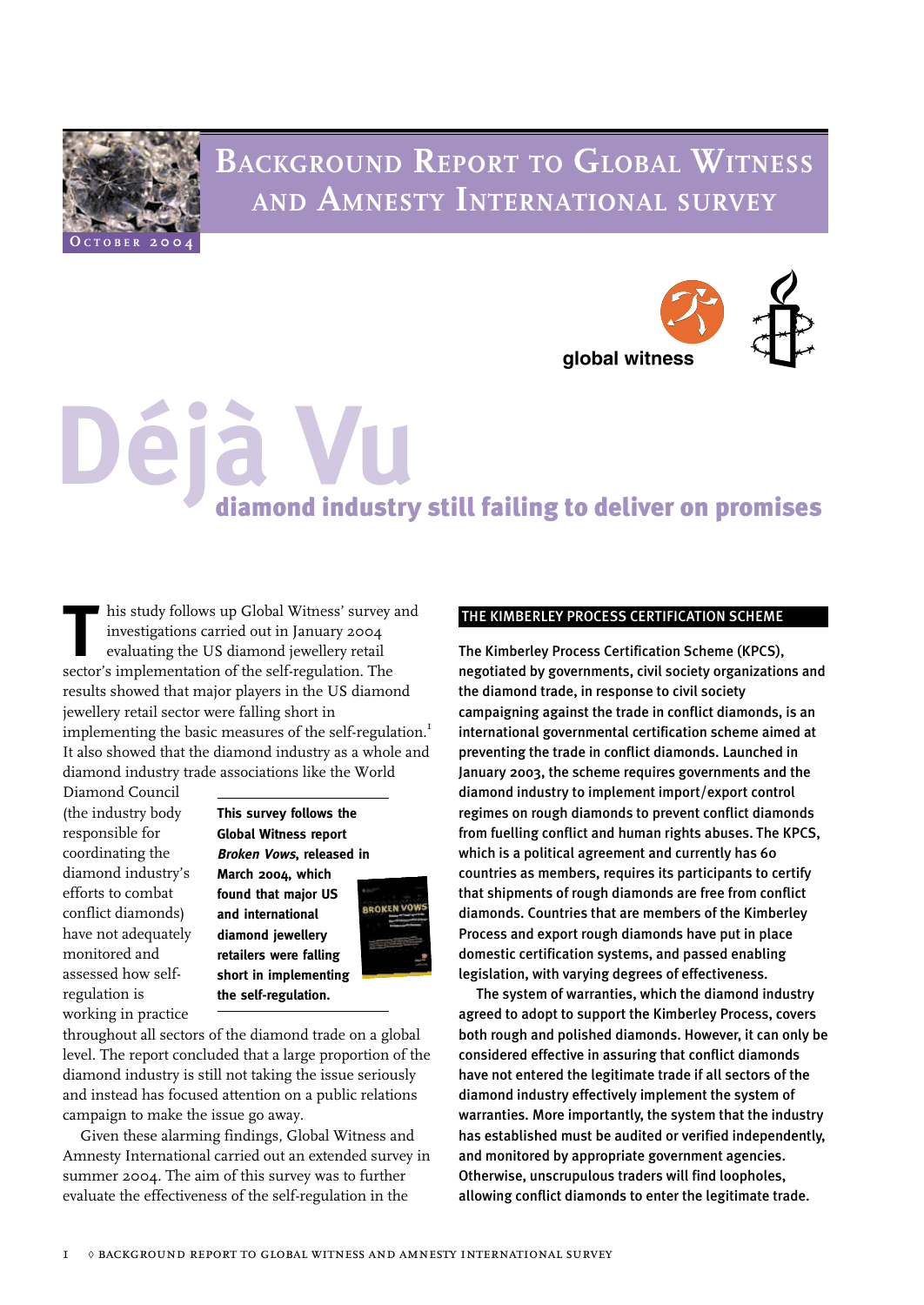

# **BACKGROUND REPORT TO GLOBAL WITNESS AND AMNESTY INTERNATIONAL SURVEY**



# **diamond industry still failing to deliver on promises**

his study follows up Global Witness' survey and investigations carried out in January 2004 evaluating the US diamond jewellery retail sector's implementation of the self-regulation. The results showed that major players in the US diamond jewellery retail sector were falling short in implementing the basic measures of the self-regulation.<sup>1</sup> It also showed that the diamond industry as a whole and diamond industry trade associations like the World

Diamond Council (the industry body responsible for coordinating the diamond industry's efforts to combat conflict diamonds) have not adequately monitored and assessed how selfregulation is working in practice

**This survey follows the Global Witness report Broken Vows, released in March 2004, which**

**found that major US and international diamond jewellery retailers were falling**

**the self-regulation.**



throughout all sectors of the diamond trade on a global level. The report concluded that a large proportion of the diamond industry is still not taking the issue seriously and instead has focused attention on a public relations campaign to make the issue go away.

Given these alarming findings, Global Witness and Amnesty International carried out an extended survey in summer 2004. The aim of this survey was to further evaluate the effectiveness of the self-regulation in the

#### THE KIMBERLEY PROCESS CERTIFICATION SCHEME

The Kimberley Process Certification Scheme (KPCS), negotiated by governments, civil society organizations and the diamond trade, in response to civil society campaigning against the trade in conflict diamonds, is an international governmental certification scheme aimed at preventing the trade in conflict diamonds. Launched in January 2003, the scheme requires governments and the diamond industry to implement import/export control regimes on rough diamonds to prevent conflict diamonds from fuelling conflict and human rights abuses. The KPCS, which is a political agreement and currently has 60 countries as members, requires its participants to certify that shipments of rough diamonds are free from conflict diamonds. Countries that are members of the Kimberley Process and export rough diamonds have put in place domestic certification systems, and passed enabling legislation, with varying degrees of effectiveness.

The system of warranties, which the diamond industry agreed to adopt to support the Kimberley Process, covers both rough and polished diamonds. However, it can only be considered effective in assuring that conflict diamonds have not entered the legitimate trade if all sectors of the diamond industry effectively implement the system of warranties. More importantly, the system that the industry has established must be audited or verified independently, and monitored by appropriate government agencies. Otherwise, unscrupulous traders will find loopholes, allowing conflict diamonds to enter the legitimate trade.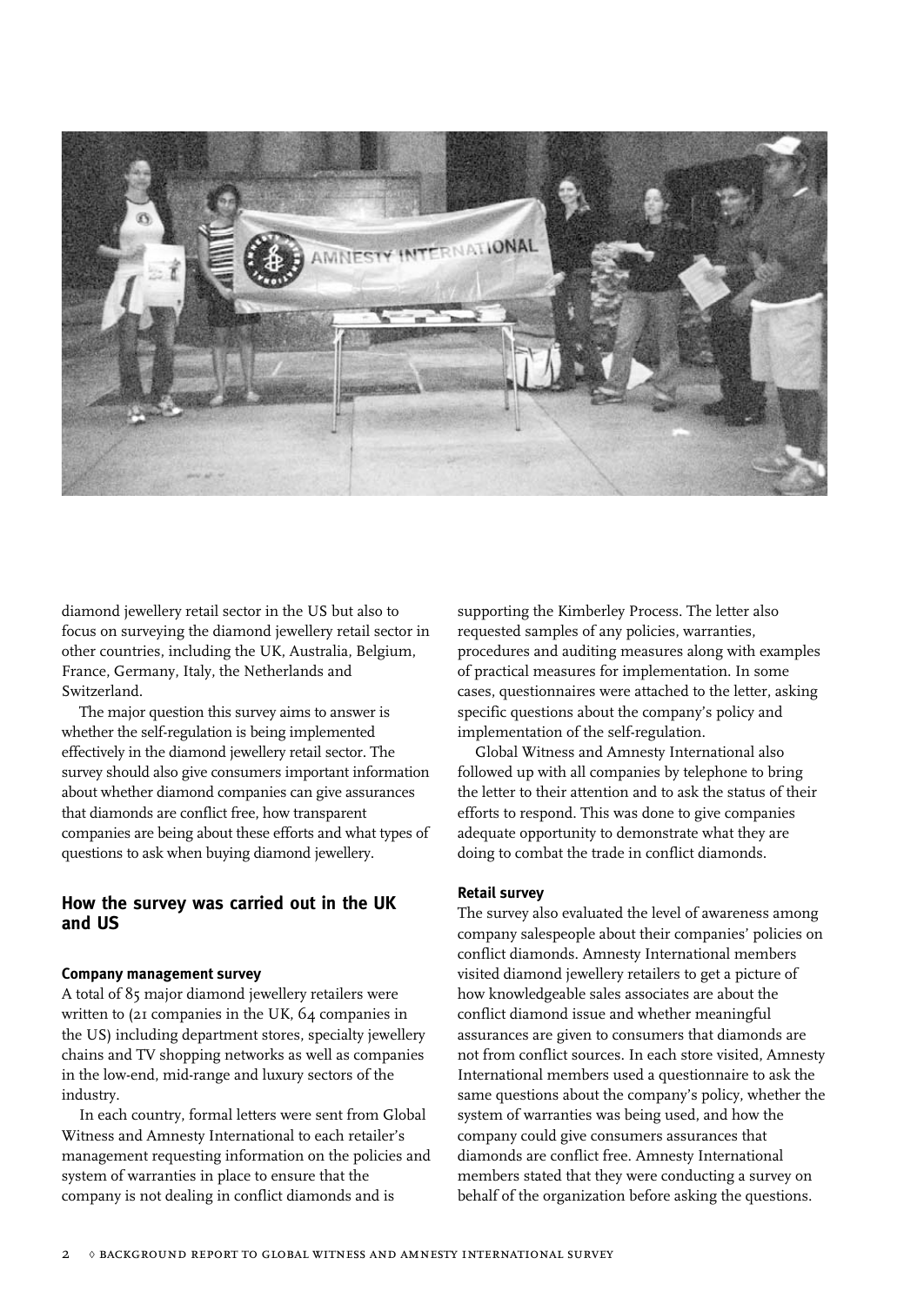

diamond jewellery retail sector in the US but also to focus on surveying the diamond jewellery retail sector in other countries, including the UK, Australia, Belgium, France, Germany, Italy, the Netherlands and Switzerland.

The major question this survey aims to answer is whether the self-regulation is being implemented effectively in the diamond jewellery retail sector. The survey should also give consumers important information about whether diamond companies can give assurances that diamonds are conflict free, how transparent companies are being about these efforts and what types of questions to ask when buying diamond jewellery.

## **How the survey was carried out in the UK and US**

#### **Company management survey**

A total of 85 major diamond jewellery retailers were written to (21 companies in the UK, 64 companies in the US) including department stores, specialty jewellery chains and TV shopping networks as well as companies in the low-end, mid-range and luxury sectors of the industry.

In each country, formal letters were sent from Global Witness and Amnesty International to each retailer's management requesting information on the policies and system of warranties in place to ensure that the company is not dealing in conflict diamonds and is

supporting the Kimberley Process. The letter also requested samples of any policies, warranties, procedures and auditing measures along with examples of practical measures for implementation. In some cases, questionnaires were attached to the letter, asking specific questions about the company's policy and implementation of the self-regulation.

Global Witness and Amnesty International also followed up with all companies by telephone to bring the letter to their attention and to ask the status of their efforts to respond. This was done to give companies adequate opportunity to demonstrate what they are doing to combat the trade in conflict diamonds.

#### **Retail survey**

The survey also evaluated the level of awareness among company salespeople about their companies' policies on conflict diamonds. Amnesty International members visited diamond jewellery retailers to get a picture of how knowledgeable sales associates are about the conflict diamond issue and whether meaningful assurances are given to consumers that diamonds are not from conflict sources. In each store visited, Amnesty International members used a questionnaire to ask the same questions about the company's policy, whether the system of warranties was being used, and how the company could give consumers assurances that diamonds are conflict free. Amnesty International members stated that they were conducting a survey on behalf of the organization before asking the questions.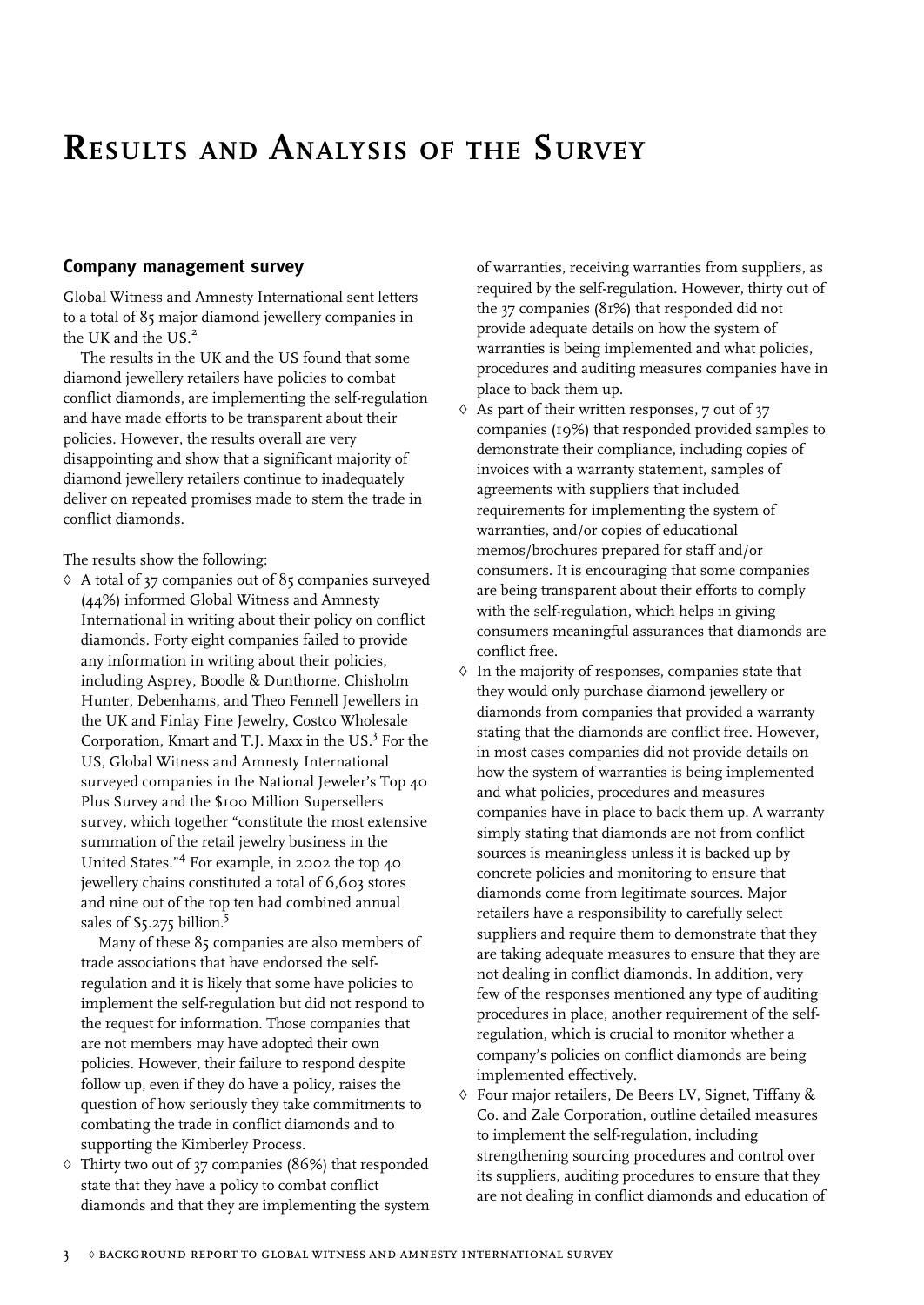# **RESULTS AND ANALYSIS OF THE SURVEY**

### **Company management survey**

Global Witness and Amnesty International sent letters to a total of 85 major diamond jewellery companies in the UK and the US.<sup>2</sup>

The results in the UK and the US found that some diamond jewellery retailers have policies to combat conflict diamonds, are implementing the self-regulation and have made efforts to be transparent about their policies. However, the results overall are very disappointing and show that a significant majority of diamond jewellery retailers continue to inadequately deliver on repeated promises made to stem the trade in conflict diamonds.

The results show the following:

◊ A total of 37 companies out of 85 companies surveyed (44%) informed Global Witness and Amnesty International in writing about their policy on conflict diamonds. Forty eight companies failed to provide any information in writing about their policies, including Asprey, Boodle & Dunthorne, Chisholm Hunter, Debenhams, and Theo Fennell Jewellers in the UK and Finlay Fine Jewelry, Costco Wholesale Corporation, Kmart and T.J. Maxx in the US. $3$  For the US, Global Witness and Amnesty International surveyed companies in the National Jeweler's Top 40 Plus Survey and the \$100 Million Supersellers survey, which together "constitute the most extensive summation of the retail jewelry business in the United States."4 For example, in 2002 the top 40 jewellery chains constituted a total of 6,603 stores and nine out of the top ten had combined annual sales of  $$5.275$  billion.<sup>5</sup>

Many of these 85 companies are also members of trade associations that have endorsed the selfregulation and it is likely that some have policies to implement the self-regulation but did not respond to the request for information. Those companies that are not members may have adopted their own policies. However, their failure to respond despite follow up, even if they do have a policy, raises the question of how seriously they take commitments to combating the trade in conflict diamonds and to supporting the Kimberley Process.

 $\Diamond$  Thirty two out of 37 companies (86%) that responded state that they have a policy to combat conflict diamonds and that they are implementing the system of warranties, receiving warranties from suppliers, as required by the self-regulation. However, thirty out of the 37 companies (81%) that responded did not provide adequate details on how the system of warranties is being implemented and what policies, procedures and auditing measures companies have in place to back them up.

- $\Diamond$  As part of their written responses, 7 out of 37 companies (19%) that responded provided samples to demonstrate their compliance, including copies of invoices with a warranty statement, samples of agreements with suppliers that included requirements for implementing the system of warranties, and/or copies of educational memos/brochures prepared for staff and/or consumers. It is encouraging that some companies are being transparent about their efforts to comply with the self-regulation, which helps in giving consumers meaningful assurances that diamonds are conflict free.
- ◊ In the majority of responses, companies state that they would only purchase diamond jewellery or diamonds from companies that provided a warranty stating that the diamonds are conflict free. However, in most cases companies did not provide details on how the system of warranties is being implemented and what policies, procedures and measures companies have in place to back them up. A warranty simply stating that diamonds are not from conflict sources is meaningless unless it is backed up by concrete policies and monitoring to ensure that diamonds come from legitimate sources. Major retailers have a responsibility to carefully select suppliers and require them to demonstrate that they are taking adequate measures to ensure that they are not dealing in conflict diamonds. In addition, very few of the responses mentioned any type of auditing procedures in place, another requirement of the selfregulation, which is crucial to monitor whether a company's policies on conflict diamonds are being implemented effectively.
- Four major retailers, De Beers LV, Signet, Tiffany & Co. and Zale Corporation, outline detailed measures to implement the self-regulation, including strengthening sourcing procedures and control over its suppliers, auditing procedures to ensure that they are not dealing in conflict diamonds and education of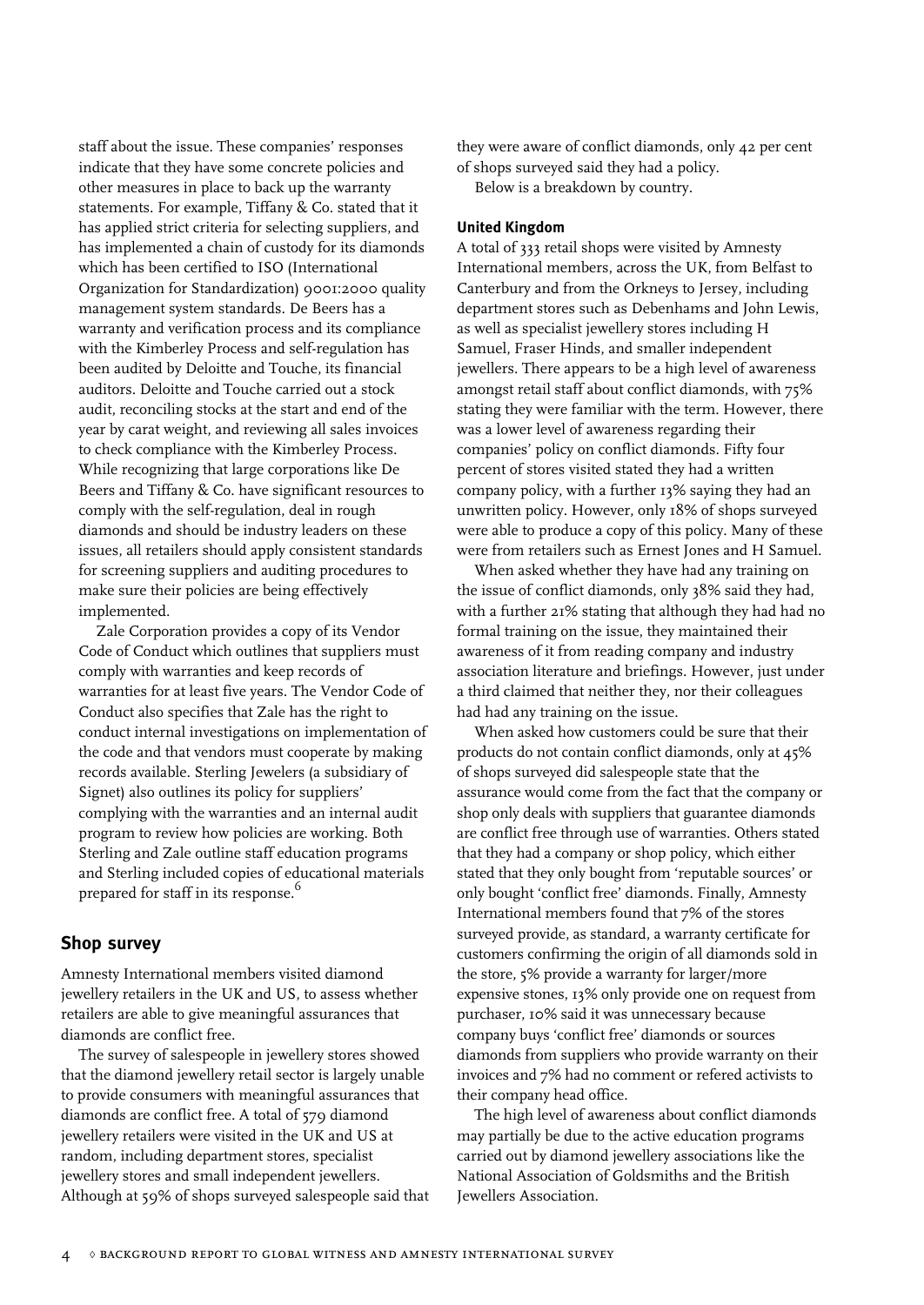staff about the issue. These companies' responses indicate that they have some concrete policies and other measures in place to back up the warranty statements. For example, Tiffany & Co. stated that it has applied strict criteria for selecting suppliers, and has implemented a chain of custody for its diamonds which has been certified to ISO (International Organization for Standardization) 9001:2000 quality management system standards. De Beers has a warranty and verification process and its compliance with the Kimberley Process and self-regulation has been audited by Deloitte and Touche, its financial auditors. Deloitte and Touche carried out a stock audit, reconciling stocks at the start and end of the year by carat weight, and reviewing all sales invoices to check compliance with the Kimberley Process. While recognizing that large corporations like De Beers and Tiffany & Co. have significant resources to comply with the self-regulation, deal in rough diamonds and should be industry leaders on these issues, all retailers should apply consistent standards for screening suppliers and auditing procedures to make sure their policies are being effectively implemented.

Zale Corporation provides a copy of its Vendor Code of Conduct which outlines that suppliers must comply with warranties and keep records of warranties for at least five years. The Vendor Code of Conduct also specifies that Zale has the right to conduct internal investigations on implementation of the code and that vendors must cooperate by making records available. Sterling Jewelers (a subsidiary of Signet) also outlines its policy for suppliers' complying with the warranties and an internal audit program to review how policies are working. Both Sterling and Zale outline staff education programs and Sterling included copies of educational materials prepared for staff in its response.<sup>6</sup>

#### **Shop survey**

Amnesty International members visited diamond jewellery retailers in the UK and US, to assess whether retailers are able to give meaningful assurances that diamonds are conflict free.

The survey of salespeople in jewellery stores showed that the diamond jewellery retail sector is largely unable to provide consumers with meaningful assurances that diamonds are conflict free. A total of 579 diamond jewellery retailers were visited in the UK and US at random, including department stores, specialist jewellery stores and small independent jewellers. Although at 59% of shops surveyed salespeople said that they were aware of conflict diamonds, only 42 per cent of shops surveyed said they had a policy.

Below is a breakdown by country.

#### **United Kingdom**

A total of 333 retail shops were visited by Amnesty International members, across the UK, from Belfast to Canterbury and from the Orkneys to Jersey, including department stores such as Debenhams and John Lewis, as well as specialist jewellery stores including H Samuel, Fraser Hinds, and smaller independent jewellers. There appears to be a high level of awareness amongst retail staff about conflict diamonds, with 75% stating they were familiar with the term. However, there was a lower level of awareness regarding their companies' policy on conflict diamonds. Fifty four percent of stores visited stated they had a written company policy, with a further 13% saying they had an unwritten policy. However, only 18% of shops surveyed were able to produce a copy of this policy. Many of these were from retailers such as Ernest Jones and H Samuel.

When asked whether they have had any training on the issue of conflict diamonds, only 38% said they had, with a further 21% stating that although they had had no formal training on the issue, they maintained their awareness of it from reading company and industry association literature and briefings. However, just under a third claimed that neither they, nor their colleagues had had any training on the issue.

When asked how customers could be sure that their products do not contain conflict diamonds, only at 45% of shops surveyed did salespeople state that the assurance would come from the fact that the company or shop only deals with suppliers that guarantee diamonds are conflict free through use of warranties. Others stated that they had a company or shop policy, which either stated that they only bought from 'reputable sources' or only bought 'conflict free' diamonds. Finally, Amnesty International members found that 7% of the stores surveyed provide, as standard, a warranty certificate for customers confirming the origin of all diamonds sold in the store, 5% provide a warranty for larger/more expensive stones, 13% only provide one on request from purchaser, 10% said it was unnecessary because company buys 'conflict free' diamonds or sources diamonds from suppliers who provide warranty on their invoices and 7% had no comment or refered activists to their company head office.

The high level of awareness about conflict diamonds may partially be due to the active education programs carried out by diamond jewellery associations like the National Association of Goldsmiths and the British Jewellers Association.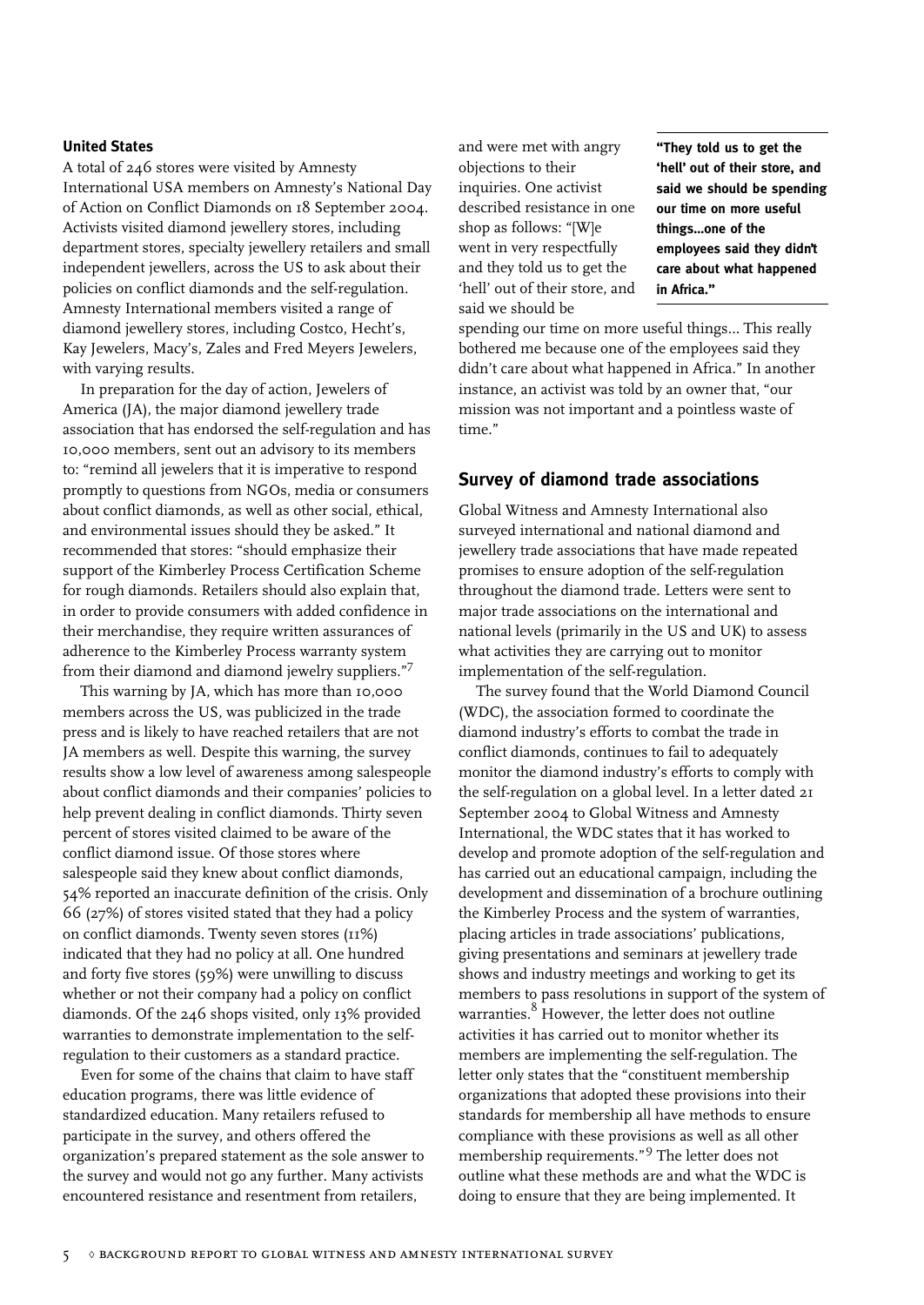#### **United States**

A total of 246 stores were visited by Amnesty International USA members on Amnesty's National Day of Action on Conflict Diamonds on 18 September 2004. Activists visited diamond jewellery stores, including department stores, specialty jewellery retailers and small independent jewellers, across the US to ask about their policies on conflict diamonds and the self-regulation. Amnesty International members visited a range of diamond jewellery stores, including Costco, Hecht's, Kay Jewelers, Macy's, Zales and Fred Meyers Jewelers, with varying results.

In preparation for the day of action, Jewelers of America (JA), the major diamond jewellery trade association that has endorsed the self-regulation and has 10,000 members, sent out an advisory to its members to: "remind all jewelers that it is imperative to respond promptly to questions from NGOs, media or consumers about conflict diamonds, as well as other social, ethical, and environmental issues should they be asked." It recommended that stores: "should emphasize their support of the Kimberley Process Certification Scheme for rough diamonds. Retailers should also explain that, in order to provide consumers with added confidence in their merchandise, they require written assurances of adherence to the Kimberley Process warranty system from their diamond and diamond jewelry suppliers."<sup>7</sup>

This warning by JA, which has more than 10,000 members across the US, was publicized in the trade press and is likely to have reached retailers that are not JA members as well. Despite this warning, the survey results show a low level of awareness among salespeople about conflict diamonds and their companies' policies to help prevent dealing in conflict diamonds. Thirty seven percent of stores visited claimed to be aware of the conflict diamond issue. Of those stores where salespeople said they knew about conflict diamonds, 54% reported an inaccurate definition of the crisis. Only 66 (27%) of stores visited stated that they had a policy on conflict diamonds. Twenty seven stores (11%) indicated that they had no policy at all. One hundred and forty five stores (59%) were unwilling to discuss whether or not their company had a policy on conflict diamonds. Of the 246 shops visited, only 13% provided warranties to demonstrate implementation to the selfregulation to their customers as a standard practice.

Even for some of the chains that claim to have staff education programs, there was little evidence of standardized education. Many retailers refused to participate in the survey, and others offered the organization's prepared statement as the sole answer to the survey and would not go any further. Many activists encountered resistance and resentment from retailers,

and were met with angry objections to their inquiries. One activist described resistance in one shop as follows: "[W]e went in very respectfully and they told us to get the 'hell' out of their store, and said we should be

**"They told us to get the 'hell' out of their store, and said we should be spending our time on more useful things…one of the employees said they didn't care about what happened in Africa."**

spending our time on more useful things… This really bothered me because one of the employees said they didn't care about what happened in Africa." In another instance, an activist was told by an owner that, "our mission was not important and a pointless waste of time."

## **Survey of diamond trade associations**

Global Witness and Amnesty International also surveyed international and national diamond and jewellery trade associations that have made repeated promises to ensure adoption of the self-regulation throughout the diamond trade. Letters were sent to major trade associations on the international and national levels (primarily in the US and UK) to assess what activities they are carrying out to monitor implementation of the self-regulation.

The survey found that the World Diamond Council (WDC), the association formed to coordinate the diamond industry's efforts to combat the trade in conflict diamonds, continues to fail to adequately monitor the diamond industry's efforts to comply with the self-regulation on a global level. In a letter dated 21 September 2004 to Global Witness and Amnesty International, the WDC states that it has worked to develop and promote adoption of the self-regulation and has carried out an educational campaign, including the development and dissemination of a brochure outlining the Kimberley Process and the system of warranties, placing articles in trade associations' publications, giving presentations and seminars at jewellery trade shows and industry meetings and working to get its members to pass resolutions in support of the system of warranties.<sup>8</sup> However, the letter does not outline activities it has carried out to monitor whether its members are implementing the self-regulation. The letter only states that the "constituent membership organizations that adopted these provisions into their standards for membership all have methods to ensure compliance with these provisions as well as all other membership requirements."<sup>9</sup> The letter does not outline what these methods are and what the WDC is doing to ensure that they are being implemented. It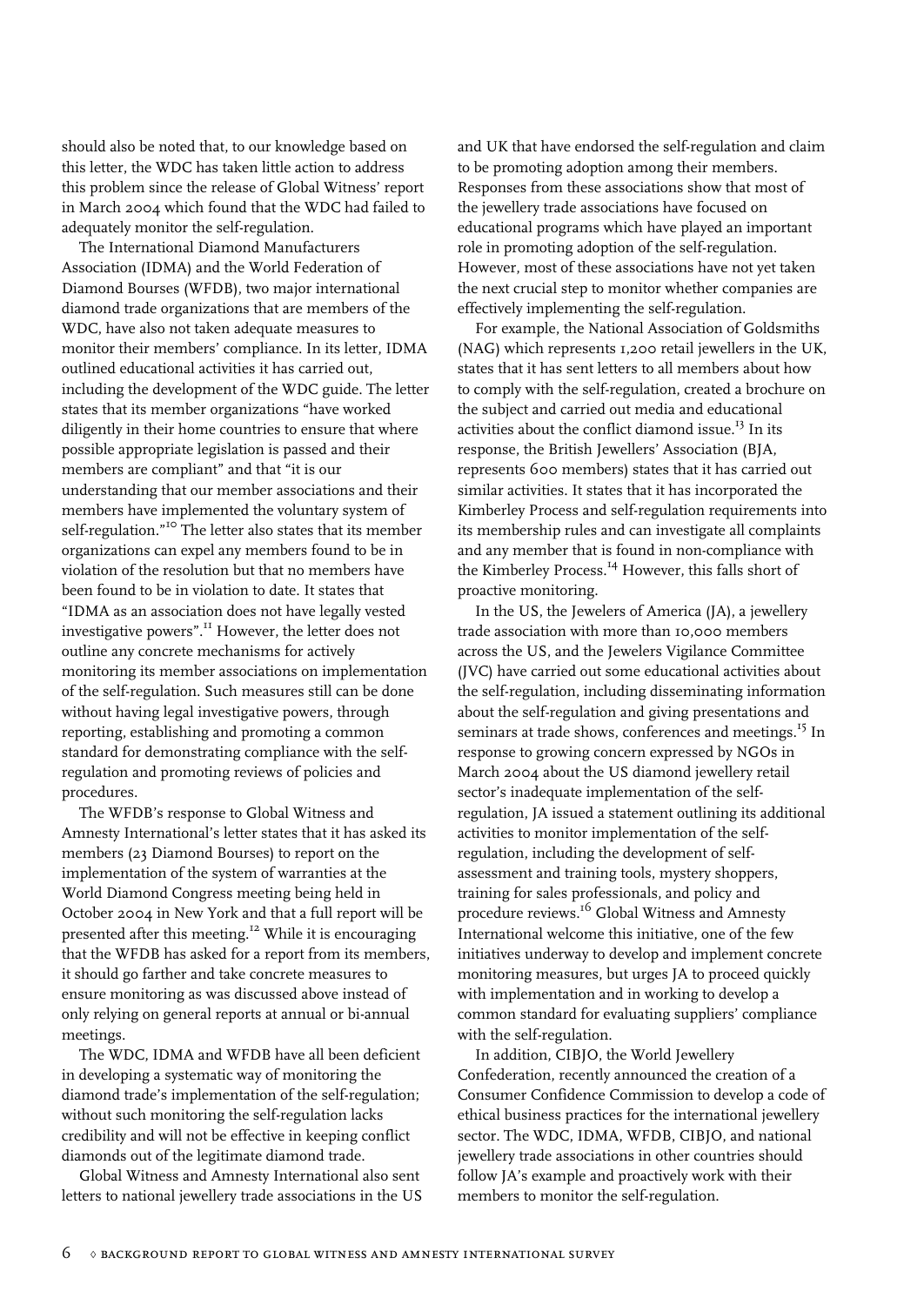should also be noted that, to our knowledge based on this letter, the WDC has taken little action to address this problem since the release of Global Witness' report in March 2004 which found that the WDC had failed to adequately monitor the self-regulation.

The International Diamond Manufacturers Association (IDMA) and the World Federation of Diamond Bourses (WFDB), two major international diamond trade organizations that are members of the WDC, have also not taken adequate measures to monitor their members' compliance. In its letter, IDMA outlined educational activities it has carried out, including the development of the WDC guide. The letter states that its member organizations "have worked diligently in their home countries to ensure that where possible appropriate legislation is passed and their members are compliant" and that "it is our understanding that our member associations and their members have implemented the voluntary system of self-regulation."<sup>10</sup> The letter also states that its member organizations can expel any members found to be in violation of the resolution but that no members have been found to be in violation to date. It states that "IDMA as an association does not have legally vested investigative powers".<sup>11</sup> However, the letter does not outline any concrete mechanisms for actively monitoring its member associations on implementation of the self-regulation. Such measures still can be done without having legal investigative powers, through reporting, establishing and promoting a common standard for demonstrating compliance with the selfregulation and promoting reviews of policies and procedures.

The WFDB's response to Global Witness and Amnesty International's letter states that it has asked its members (23 Diamond Bourses) to report on the implementation of the system of warranties at the World Diamond Congress meeting being held in October 2004 in New York and that a full report will be presented after this meeting.<sup>12</sup> While it is encouraging that the WFDB has asked for a report from its members, it should go farther and take concrete measures to ensure monitoring as was discussed above instead of only relying on general reports at annual or bi-annual meetings.

The WDC, IDMA and WFDB have all been deficient in developing a systematic way of monitoring the diamond trade's implementation of the self-regulation; without such monitoring the self-regulation lacks credibility and will not be effective in keeping conflict diamonds out of the legitimate diamond trade.

Global Witness and Amnesty International also sent letters to national jewellery trade associations in the US and UK that have endorsed the self-regulation and claim to be promoting adoption among their members. Responses from these associations show that most of the jewellery trade associations have focused on educational programs which have played an important role in promoting adoption of the self-regulation. However, most of these associations have not yet taken the next crucial step to monitor whether companies are effectively implementing the self-regulation.

For example, the National Association of Goldsmiths (NAG) which represents 1,200 retail jewellers in the UK, states that it has sent letters to all members about how to comply with the self-regulation, created a brochure on the subject and carried out media and educational activities about the conflict diamond issue.<sup> $13$ </sup> In its response, the British Jewellers' Association (BJA, represents 600 members) states that it has carried out similar activities. It states that it has incorporated the Kimberley Process and self-regulation requirements into its membership rules and can investigate all complaints and any member that is found in non-compliance with the Kimberley Process.<sup>14</sup> However, this falls short of proactive monitoring.

In the US, the Jewelers of America (JA), a jewellery trade association with more than 10,000 members across the US, and the Jewelers Vigilance Committee (JVC) have carried out some educational activities about the self-regulation, including disseminating information about the self-regulation and giving presentations and seminars at trade shows, conferences and meetings.<sup>15</sup> In response to growing concern expressed by NGOs in March 2004 about the US diamond jewellery retail sector's inadequate implementation of the selfregulation, JA issued a statement outlining its additional activities to monitor implementation of the selfregulation, including the development of selfassessment and training tools, mystery shoppers, training for sales professionals, and policy and procedure reviews.16 Global Witness and Amnesty International welcome this initiative, one of the few initiatives underway to develop and implement concrete monitoring measures, but urges JA to proceed quickly with implementation and in working to develop a common standard for evaluating suppliers' compliance with the self-regulation.

In addition, CIBJO, the World Jewellery Confederation, recently announced the creation of a Consumer Confidence Commission to develop a code of ethical business practices for the international jewellery sector. The WDC, IDMA, WFDB, CIBJO, and national jewellery trade associations in other countries should follow JA's example and proactively work with their members to monitor the self-regulation.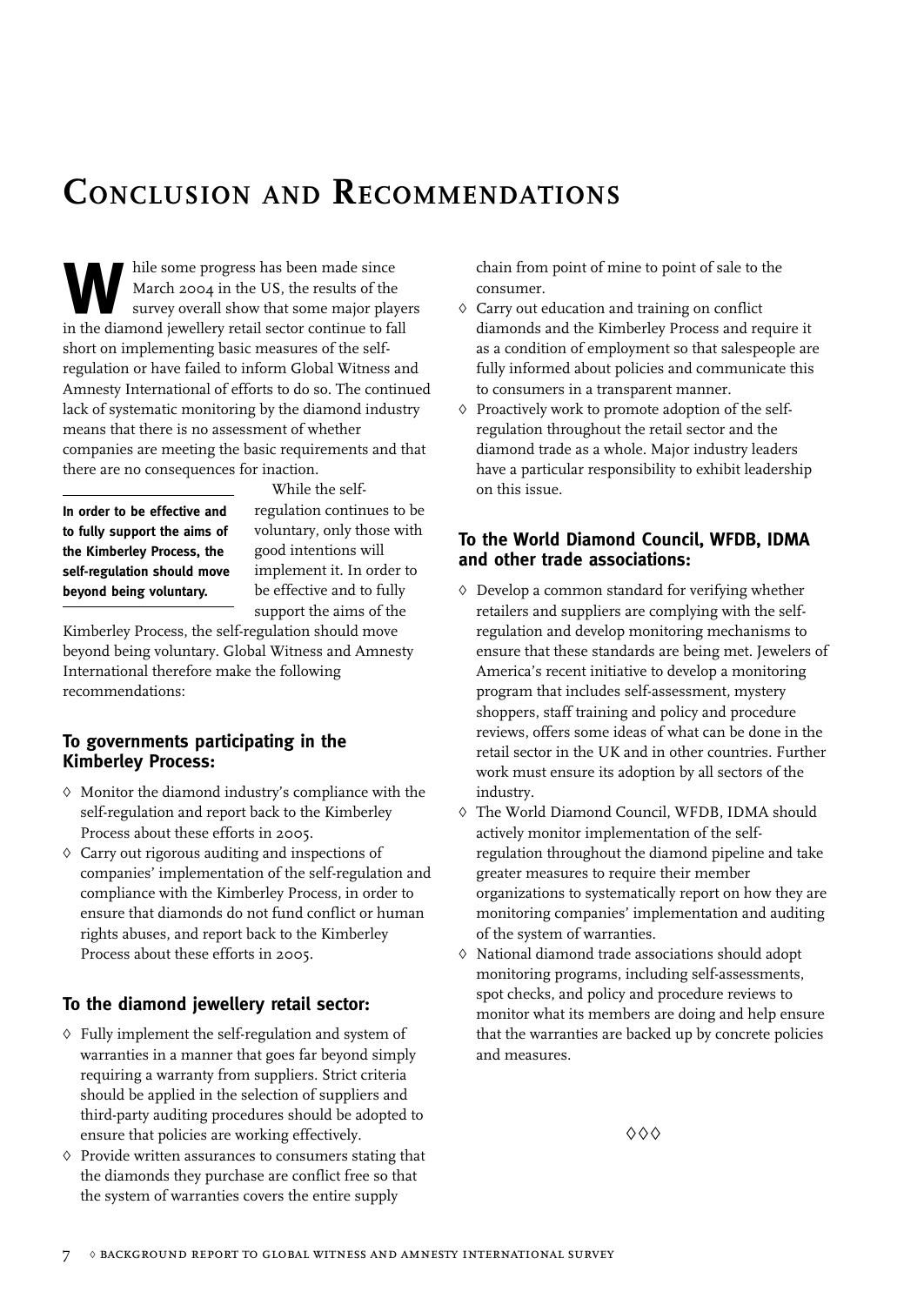# **CONCLUSION AND RECOMMENDATIONS**

hile some progress has been made since<br>March 2004 in the US, the results of the<br>survey overall show that some major plat<br>in the diamond issuellary rateil sector continue to for March 2004 in the US, the results of the survey overall show that some major players in the diamond jewellery retail sector continue to fall short on implementing basic measures of the selfregulation or have failed to inform Global Witness and Amnesty International of efforts to do so. The continued lack of systematic monitoring by the diamond industry means that there is no assessment of whether companies are meeting the basic requirements and that there are no consequences for inaction.

**In order to be effective and to fully support the aims of the Kimberley Process, the self-regulation should move beyond being voluntary.**

While the selfregulation continues to be voluntary, only those with good intentions will implement it. In order to be effective and to fully support the aims of the

Kimberley Process, the self-regulation should move beyond being voluntary. Global Witness and Amnesty International therefore make the following recommendations:

## **To governments participating in the Kimberley Process:**

- ◊ Monitor the diamond industry's compliance with the self-regulation and report back to the Kimberley Process about these efforts in 2005.
- ◊ Carry out rigorous auditing and inspections of companies' implementation of the self-regulation and compliance with the Kimberley Process, in order to ensure that diamonds do not fund conflict or human rights abuses, and report back to the Kimberley Process about these efforts in 2005.

# **To the diamond jewellery retail sector:**

- ◊ Fully implement the self-regulation and system of warranties in a manner that goes far beyond simply requiring a warranty from suppliers. Strict criteria should be applied in the selection of suppliers and third-party auditing procedures should be adopted to ensure that policies are working effectively.
- ◊ Provide written assurances to consumers stating that the diamonds they purchase are conflict free so that the system of warranties covers the entire supply

chain from point of mine to point of sale to the consumer.

- ◊ Carry out education and training on conflict diamonds and the Kimberley Process and require it as a condition of employment so that salespeople are fully informed about policies and communicate this to consumers in a transparent manner.
- ◊ Proactively work to promote adoption of the selfregulation throughout the retail sector and the diamond trade as a whole. Major industry leaders have a particular responsibility to exhibit leadership on this issue.

## **To the World Diamond Council, WFDB, IDMA and other trade associations:**

- ◊ Develop a common standard for verifying whether retailers and suppliers are complying with the selfregulation and develop monitoring mechanisms to ensure that these standards are being met. Jewelers of America's recent initiative to develop a monitoring program that includes self-assessment, mystery shoppers, staff training and policy and procedure reviews, offers some ideas of what can be done in the retail sector in the UK and in other countries. Further work must ensure its adoption by all sectors of the industry.
- ◊ The World Diamond Council, WFDB, IDMA should actively monitor implementation of the selfregulation throughout the diamond pipeline and take greater measures to require their member organizations to systematically report on how they are monitoring companies' implementation and auditing of the system of warranties.
- ◊ National diamond trade associations should adopt monitoring programs, including self-assessments, spot checks, and policy and procedure reviews to monitor what its members are doing and help ensure that the warranties are backed up by concrete policies and measures.

◊◊◊